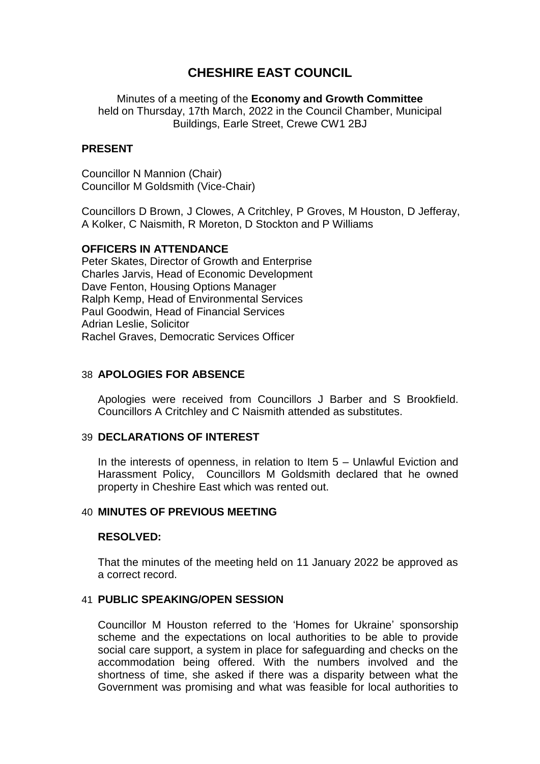# **CHESHIRE EAST COUNCIL**

Minutes of a meeting of the **Economy and Growth Committee** held on Thursday, 17th March, 2022 in the Council Chamber, Municipal Buildings, Earle Street, Crewe CW1 2BJ

#### **PRESENT**

Councillor N Mannion (Chair) Councillor M Goldsmith (Vice-Chair)

Councillors D Brown, J Clowes, A Critchley, P Groves, M Houston, D Jefferay, A Kolker, C Naismith, R Moreton, D Stockton and P Williams

#### **OFFICERS IN ATTENDANCE**

Peter Skates, Director of Growth and Enterprise Charles Jarvis, Head of Economic Development Dave Fenton, Housing Options Manager Ralph Kemp, Head of Environmental Services Paul Goodwin, Head of Financial Services Adrian Leslie, Solicitor Rachel Graves, Democratic Services Officer

## 38 **APOLOGIES FOR ABSENCE**

Apologies were received from Councillors J Barber and S Brookfield. Councillors A Critchley and C Naismith attended as substitutes.

#### 39 **DECLARATIONS OF INTEREST**

In the interests of openness, in relation to Item 5 – Unlawful Eviction and Harassment Policy, Councillors M Goldsmith declared that he owned property in Cheshire East which was rented out.

# 40 **MINUTES OF PREVIOUS MEETING**

#### **RESOLVED:**

That the minutes of the meeting held on 11 January 2022 be approved as a correct record.

#### 41 **PUBLIC SPEAKING/OPEN SESSION**

Councillor M Houston referred to the 'Homes for Ukraine' sponsorship scheme and the expectations on local authorities to be able to provide social care support, a system in place for safeguarding and checks on the accommodation being offered. With the numbers involved and the shortness of time, she asked if there was a disparity between what the Government was promising and what was feasible for local authorities to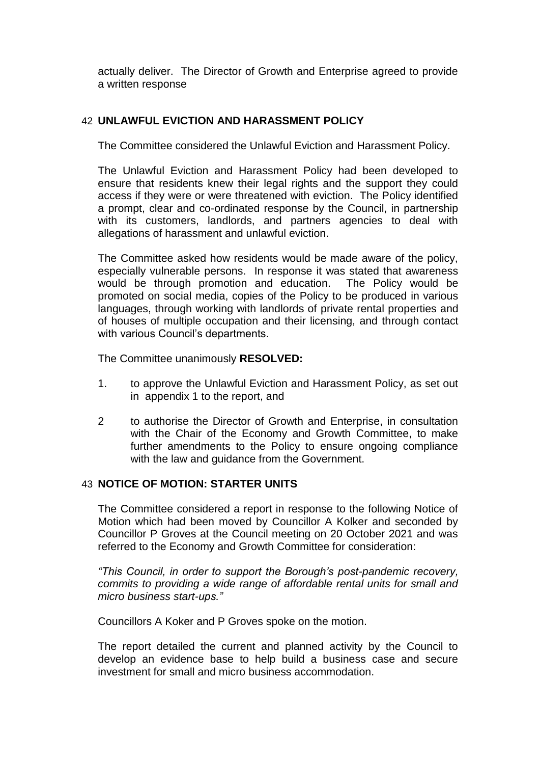actually deliver. The Director of Growth and Enterprise agreed to provide a written response

# 42 **UNLAWFUL EVICTION AND HARASSMENT POLICY**

The Committee considered the Unlawful Eviction and Harassment Policy.

The Unlawful Eviction and Harassment Policy had been developed to ensure that residents knew their legal rights and the support they could access if they were or were threatened with eviction. The Policy identified a prompt, clear and co-ordinated response by the Council, in partnership with its customers, landlords, and partners agencies to deal with allegations of harassment and unlawful eviction.

The Committee asked how residents would be made aware of the policy, especially vulnerable persons. In response it was stated that awareness would be through promotion and education. The Policy would be promoted on social media, copies of the Policy to be produced in various languages, through working with landlords of private rental properties and of houses of multiple occupation and their licensing, and through contact with various Council's departments.

The Committee unanimously **RESOLVED:**

- 1. to approve the Unlawful Eviction and Harassment Policy, as set out in appendix 1 to the report, and
- 2 to authorise the Director of Growth and Enterprise, in consultation with the Chair of the Economy and Growth Committee, to make further amendments to the Policy to ensure ongoing compliance with the law and guidance from the Government.

# 43 **NOTICE OF MOTION: STARTER UNITS**

The Committee considered a report in response to the following Notice of Motion which had been moved by Councillor A Kolker and seconded by Councillor P Groves at the Council meeting on 20 October 2021 and was referred to the Economy and Growth Committee for consideration:

*"This Council, in order to support the Borough's post-pandemic recovery, commits to providing a wide range of affordable rental units for small and micro business start-ups."*

Councillors A Koker and P Groves spoke on the motion.

The report detailed the current and planned activity by the Council to develop an evidence base to help build a business case and secure investment for small and micro business accommodation.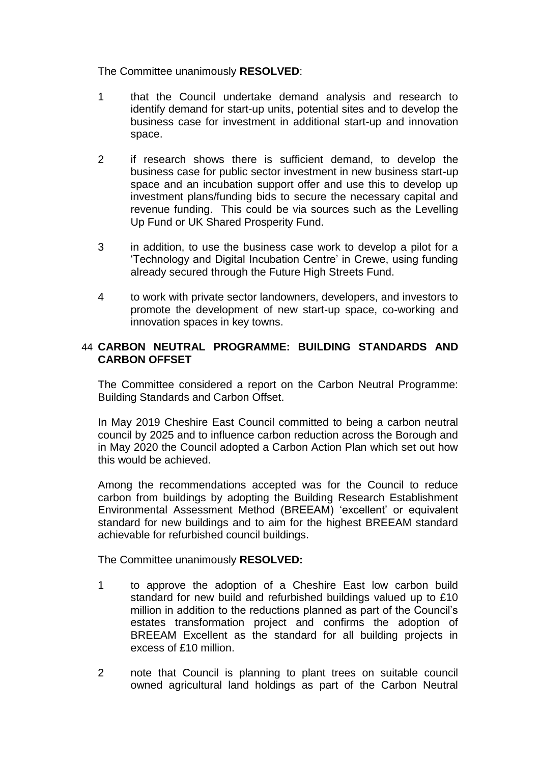The Committee unanimously **RESOLVED**:

- 1 that the Council undertake demand analysis and research to identify demand for start-up units, potential sites and to develop the business case for investment in additional start-up and innovation space.
- 2 if research shows there is sufficient demand, to develop the business case for public sector investment in new business start-up space and an incubation support offer and use this to develop up investment plans/funding bids to secure the necessary capital and revenue funding. This could be via sources such as the Levelling Up Fund or UK Shared Prosperity Fund.
- 3 in addition, to use the business case work to develop a pilot for a 'Technology and Digital Incubation Centre' in Crewe, using funding already secured through the Future High Streets Fund.
- 4 to work with private sector landowners, developers, and investors to promote the development of new start-up space, co-working and innovation spaces in key towns.

# 44 **CARBON NEUTRAL PROGRAMME: BUILDING STANDARDS AND CARBON OFFSET**

The Committee considered a report on the Carbon Neutral Programme: Building Standards and Carbon Offset.

In May 2019 Cheshire East Council committed to being a carbon neutral council by 2025 and to influence carbon reduction across the Borough and in May 2020 the Council adopted a Carbon Action Plan which set out how this would be achieved.

Among the recommendations accepted was for the Council to reduce carbon from buildings by adopting the Building Research Establishment Environmental Assessment Method (BREEAM) 'excellent' or equivalent standard for new buildings and to aim for the highest BREEAM standard achievable for refurbished council buildings.

The Committee unanimously **RESOLVED:**

- 1 to approve the adoption of a Cheshire East low carbon build standard for new build and refurbished buildings valued up to £10 million in addition to the reductions planned as part of the Council's estates transformation project and confirms the adoption of BREEAM Excellent as the standard for all building projects in excess of £10 million.
- 2 note that Council is planning to plant trees on suitable council owned agricultural land holdings as part of the Carbon Neutral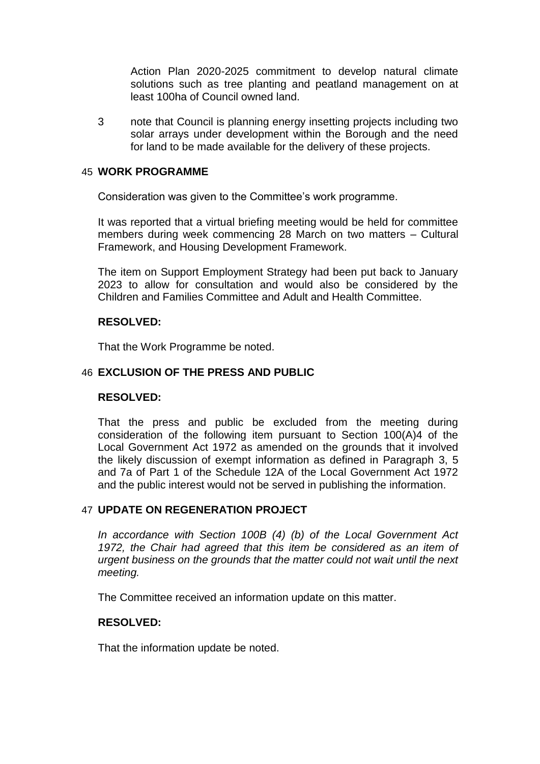Action Plan 2020-2025 commitment to develop natural climate solutions such as tree planting and peatland management on at least 100ha of Council owned land.

3 note that Council is planning energy insetting projects including two solar arrays under development within the Borough and the need for land to be made available for the delivery of these projects.

#### 45 **WORK PROGRAMME**

Consideration was given to the Committee's work programme.

It was reported that a virtual briefing meeting would be held for committee members during week commencing 28 March on two matters – Cultural Framework, and Housing Development Framework.

The item on Support Employment Strategy had been put back to January 2023 to allow for consultation and would also be considered by the Children and Families Committee and Adult and Health Committee.

# **RESOLVED:**

That the Work Programme be noted.

## 46 **EXCLUSION OF THE PRESS AND PUBLIC**

#### **RESOLVED:**

That the press and public be excluded from the meeting during consideration of the following item pursuant to Section 100(A)4 of the Local Government Act 1972 as amended on the grounds that it involved the likely discussion of exempt information as defined in Paragraph 3, 5 and 7a of Part 1 of the Schedule 12A of the Local Government Act 1972 and the public interest would not be served in publishing the information.

# 47 **UPDATE ON REGENERATION PROJECT**

*In accordance with Section 100B (4) (b) of the Local Government Act 1972, the Chair had agreed that this item be considered as an item of urgent business on the grounds that the matter could not wait until the next meeting.*

The Committee received an information update on this matter.

# **RESOLVED:**

That the information update be noted.